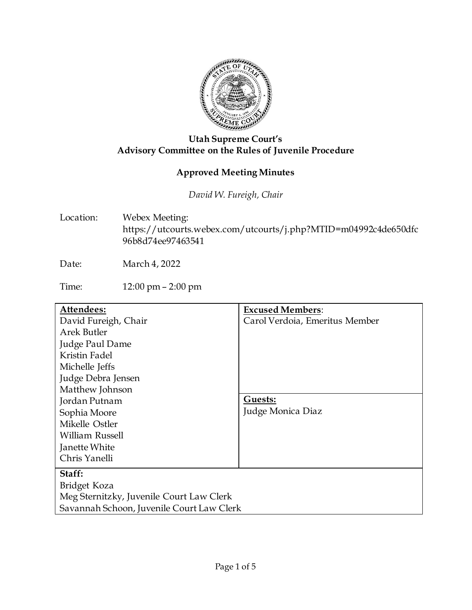

## **Utah Supreme Court's Advisory Committee on the Rules of Juvenile Procedure**

## **Approved Meeting Minutes**

*David W. Fureigh, Chair*

Location: Webex Meeting: https://utcourts.webex.com/utcourts/j.php?MTID=m04992c4de650dfc 96b8d74ee97463541

Date: March 4, 2022

Time: 12:00 pm – 2:00 pm

| Attendees:                                | <b>Excused Members:</b>        |
|-------------------------------------------|--------------------------------|
| David Fureigh, Chair                      | Carol Verdoia, Emeritus Member |
| Arek Butler                               |                                |
| Judge Paul Dame                           |                                |
| Kristin Fadel                             |                                |
| Michelle Jeffs                            |                                |
| Judge Debra Jensen                        |                                |
| Matthew Johnson                           |                                |
| Jordan Putnam                             | Guests:                        |
| Sophia Moore                              | Judge Monica Diaz              |
| Mikelle Ostler                            |                                |
| William Russell                           |                                |
| Janette White                             |                                |
| Chris Yanelli                             |                                |
| Staff:                                    |                                |
| Bridget Koza                              |                                |
| Meg Sternitzky, Juvenile Court Law Clerk  |                                |
| Savannah Schoon, Juvenile Court Law Clerk |                                |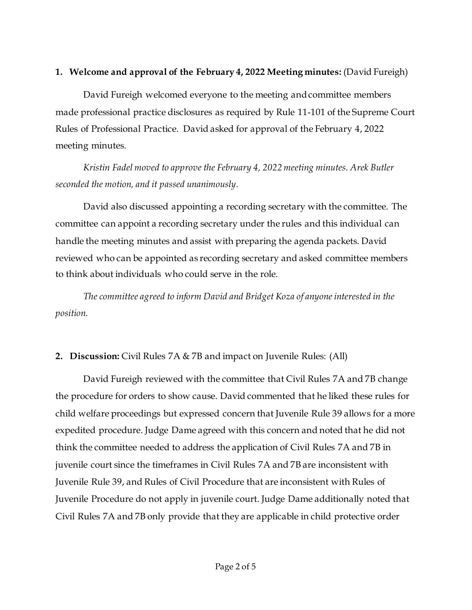#### **1. Welcome and approval of the February 4, 2022 Meeting minutes:** (David Fureigh)

David Fureigh welcomed everyone to the meeting and committee members made professional practice disclosures as required by Rule 11-101 of the Supreme Court Rules of Professional Practice. David asked for approval of the February 4, 2022 meeting minutes.

*Kristin Fadel moved to approve the February 4, 2022 meeting minutes. Arek Butler seconded the motion, and it passed unanimously.* 

David also discussed appointing a recording secretary with the committee. The committee can appoint a recording secretary under the rules and this individual can handle the meeting minutes and assist with preparing the agenda packets. David reviewed who can be appointed as recording secretary and asked committee members to think about individuals who could serve in the role.

*The committee agreed to inform David and Bridget Koza of anyone interested in the position.* 

## **2. Discussion:** Civil Rules 7A & 7B and impact on Juvenile Rules: (All)

David Fureigh reviewed with the committee that Civil Rules 7A and 7B change the procedure for orders to show cause. David commented that he liked these rules for child welfare proceedings but expressed concern that Juvenile Rule 39 allows for a more expedited procedure. Judge Dame agreed with this concern and noted that he did not think the committee needed to address the application of Civil Rules 7A and 7B in juvenile court since the timeframes in Civil Rules 7A and 7B are inconsistent with Juvenile Rule 39, and Rules of Civil Procedure that are inconsistent with Rules of Juvenile Procedure do not apply in juvenile court. Judge Dame additionally noted that Civil Rules 7A and 7B only provide that they are applicable in child protective order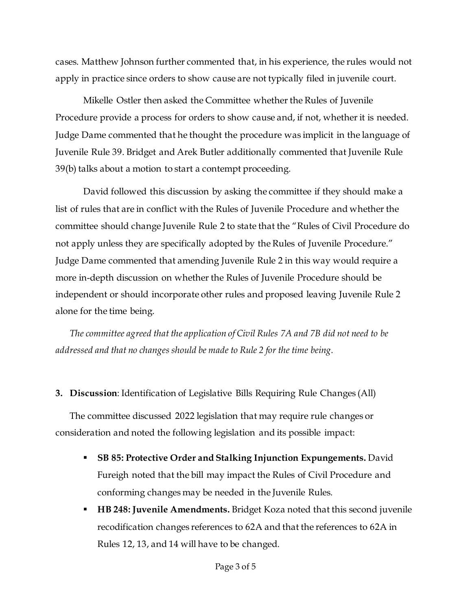cases. Matthew Johnson further commented that, in his experience, the rules would not apply in practice since orders to show cause are not typically filed in juvenile court.

Mikelle Ostler then asked the Committee whether the Rules of Juvenile Procedure provide a process for orders to show cause and, if not, whether it is needed. Judge Dame commented that he thought the procedure was implicit in the language of Juvenile Rule 39. Bridget and Arek Butler additionally commented that Juvenile Rule 39(b) talks about a motion to start a contempt proceeding.

David followed this discussion by asking the committee if they should make a list of rules that are in conflict with the Rules of Juvenile Procedure and whether the committee should change Juvenile Rule 2 to state that the "Rules of Civil Procedure do not apply unless they are specifically adopted by the Rules of Juvenile Procedure." Judge Dame commented that amending Juvenile Rule 2 in this way would require a more in-depth discussion on whether the Rules of Juvenile Procedure should be independent or should incorporate other rules and proposed leaving Juvenile Rule 2 alone for the time being.

*The committee agreed that the application of Civil Rules 7A and 7B did not need to be addressed and that no changes should be made to Rule 2 for the time being.*

#### **3. Discussion**: Identification of Legislative Bills Requiring Rule Changes (All)

The committee discussed 2022 legislation that may require rule changes or consideration and noted the following legislation and its possible impact:

- **SB 85: Protective Order and Stalking Injunction Expungements.** David Fureigh noted that the bill may impact the Rules of Civil Procedure and conforming changes may be needed in the Juvenile Rules.
- **HB 248: Juvenile Amendments.** Bridget Koza noted that this second juvenile recodification changes references to 62A and that the references to 62A in Rules 12, 13, and 14 will have to be changed.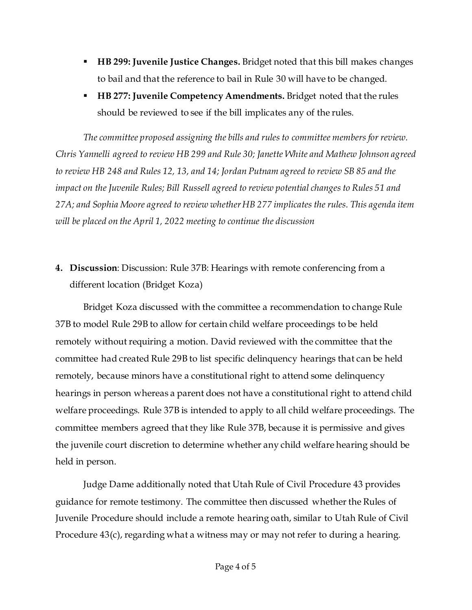- **HB 299: Juvenile Justice Changes.** Bridget noted that this bill makes changes to bail and that the reference to bail in Rule 30 will have to be changed.
- **HB 277: Juvenile Competency Amendments.** Bridget noted that the rules should be reviewed to see if the bill implicates any of the rules.

*The committee proposed assigning the bills and rules to committee members for review. Chris Yannelli agreed to review HB 299 and Rule 30; Janette White and Mathew Johnson agreed to review HB 248 and Rules 12, 13, and 14; Jordan Putnam agreed to review SB 85 and the impact on the Juvenile Rules; Bill Russell agreed to review potential changes to Rules 51 and 27A; and Sophia Moore agreed to review whether HB 277 implicates the rules. This agenda item will be placed on the April 1, 2022 meeting to continue the discussion*

# **4. Discussion**: Discussion: Rule 37B: Hearings with remote conferencing from a different location (Bridget Koza)

Bridget Koza discussed with the committee a recommendation to change Rule 37B to model Rule 29B to allow for certain child welfare proceedings to be held remotely without requiring a motion. David reviewed with the committee that the committee had created Rule 29B to list specific delinquency hearings that can be held remotely, because minors have a constitutional right to attend some delinquency hearings in person whereas a parent does not have a constitutional right to attend child welfare proceedings. Rule 37B is intended to apply to all child welfare proceedings. The committee members agreed that they like Rule 37B, because it is permissive and gives the juvenile court discretion to determine whether any child welfare hearing should be held in person.

Judge Dame additionally noted that Utah Rule of Civil Procedure 43 provides guidance for remote testimony. The committee then discussed whether the Rules of Juvenile Procedure should include a remote hearing oath, similar to Utah Rule of Civil Procedure 43(c), regarding what a witness may or may not refer to during a hearing.